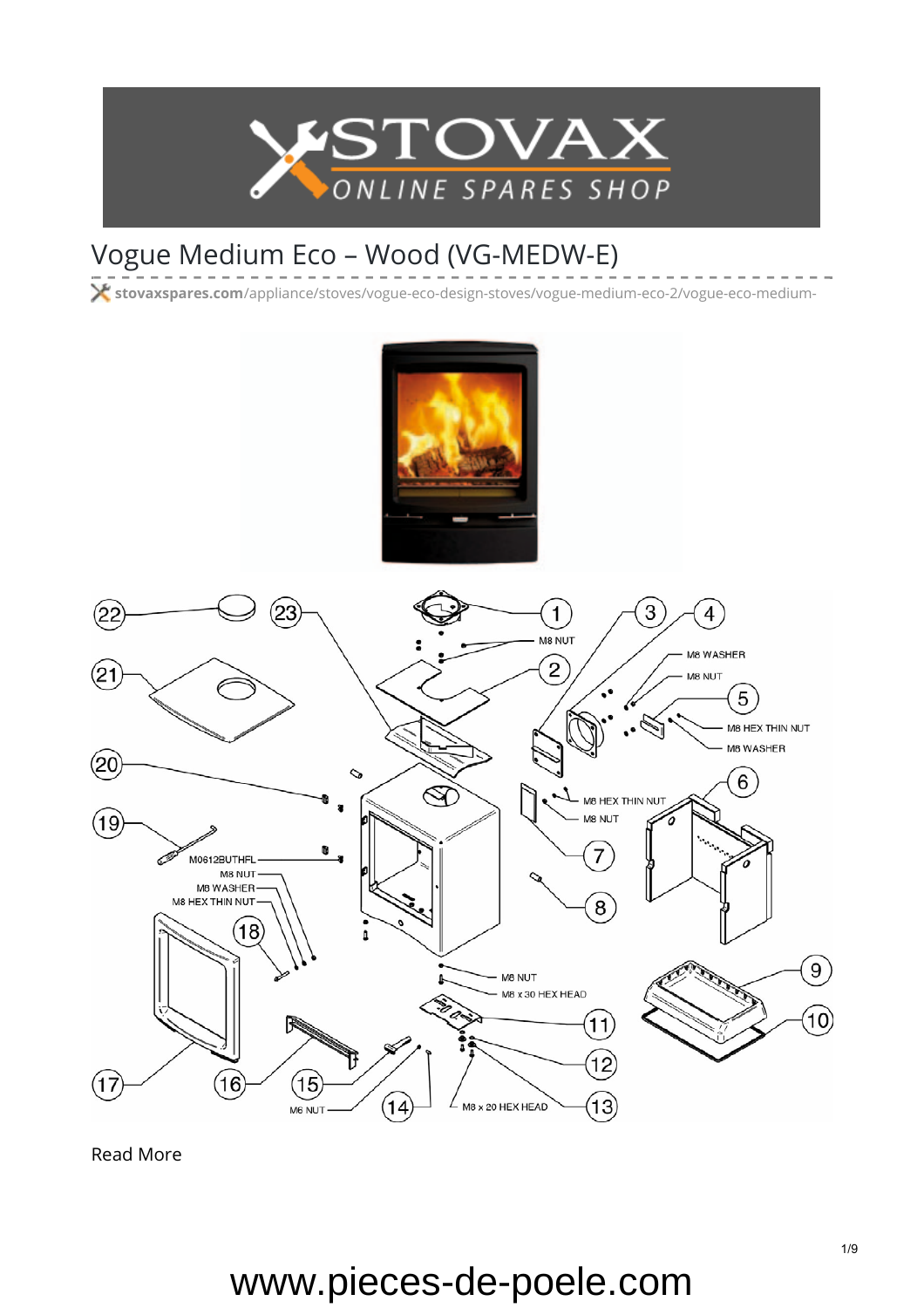

## Vogue Medium Eco – Wood (VG-MEDW-E)

**stovaxspares.com**[/appliance/stoves/vogue-eco-design-stoves/vogue-medium-eco-2/vogue-eco-medium-](https://www.stovaxspares.com/appliance/stoves/vogue-eco-design-stoves/vogue-medium-eco-2/vogue-eco-medium-wood-vg-medw-e/)



[Read More](https://www.stovaxspares.com/product/na/)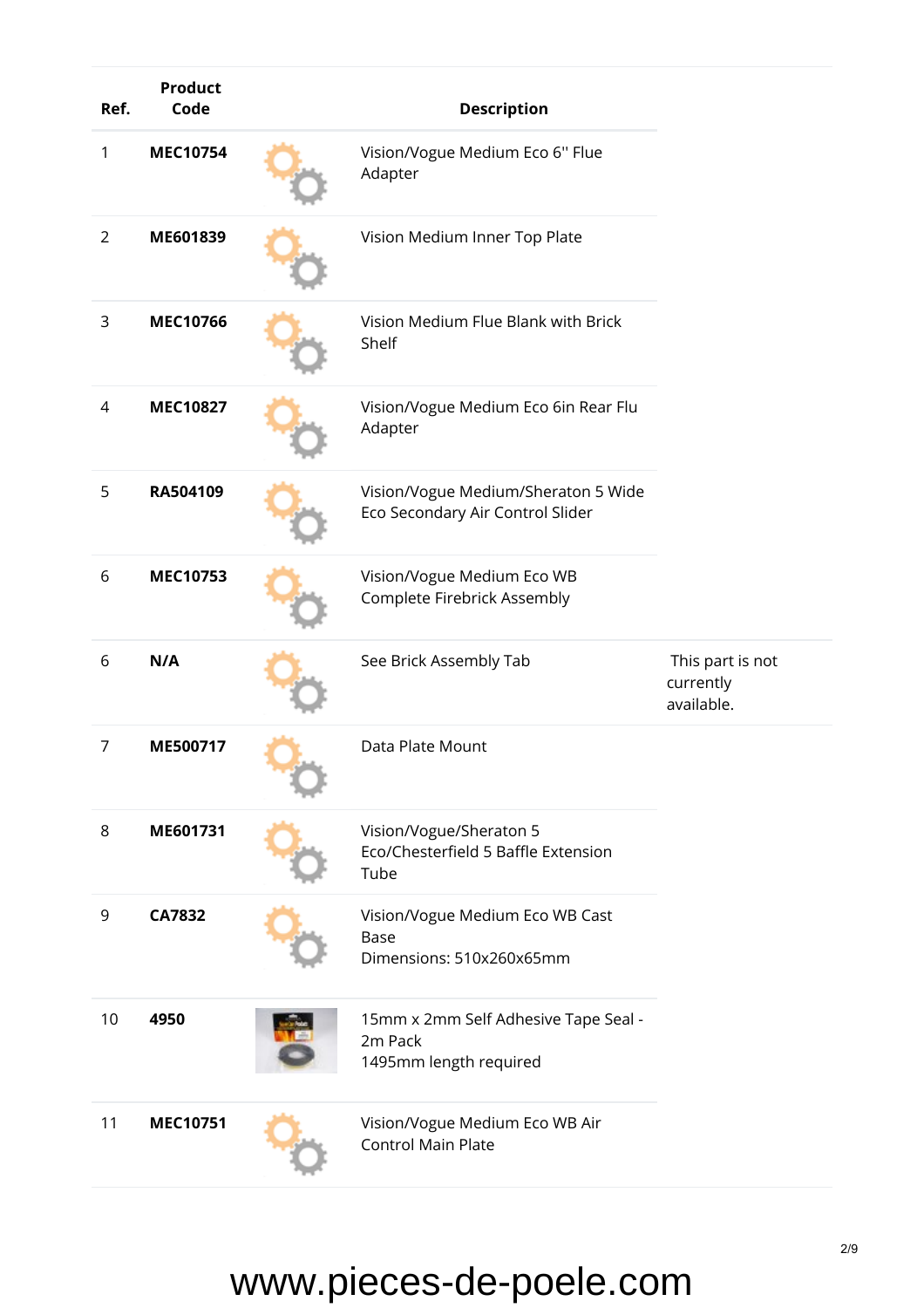| Ref.           | <b>Product</b><br>Code | <b>Description</b>                                                        |                                             |
|----------------|------------------------|---------------------------------------------------------------------------|---------------------------------------------|
| 1              | <b>MEC10754</b>        | Vision/Vogue Medium Eco 6" Flue<br>Adapter                                |                                             |
| $\overline{2}$ | ME601839               | Vision Medium Inner Top Plate                                             |                                             |
| 3              | <b>MEC10766</b>        | Vision Medium Flue Blank with Brick<br>Shelf                              |                                             |
| 4              | <b>MEC10827</b>        | Vision/Vogue Medium Eco 6in Rear Flu<br>Adapter                           |                                             |
| 5              | RA504109               | Vision/Vogue Medium/Sheraton 5 Wide<br>Eco Secondary Air Control Slider   |                                             |
| 6              | MEC10753               | Vision/Vogue Medium Eco WB<br>Complete Firebrick Assembly                 |                                             |
| 6              | N/A                    | See Brick Assembly Tab                                                    | This part is not<br>currently<br>available. |
| 7              | ME500717               | Data Plate Mount                                                          |                                             |
| 8              | ME601731               | Vision/Vogue/Sheraton 5<br>Eco/Chesterfield 5 Baffle Extension<br>Tube    |                                             |
| 9              | <b>CA7832</b>          | Vision/Vogue Medium Eco WB Cast<br>Base<br>Dimensions: 510x260x65mm       |                                             |
| 10             | 4950                   | 15mm x 2mm Self Adhesive Tape Seal -<br>2m Pack<br>1495mm length required |                                             |
| 11             | <b>MEC10751</b>        | Vision/Vogue Medium Eco WB Air<br><b>Control Main Plate</b>               |                                             |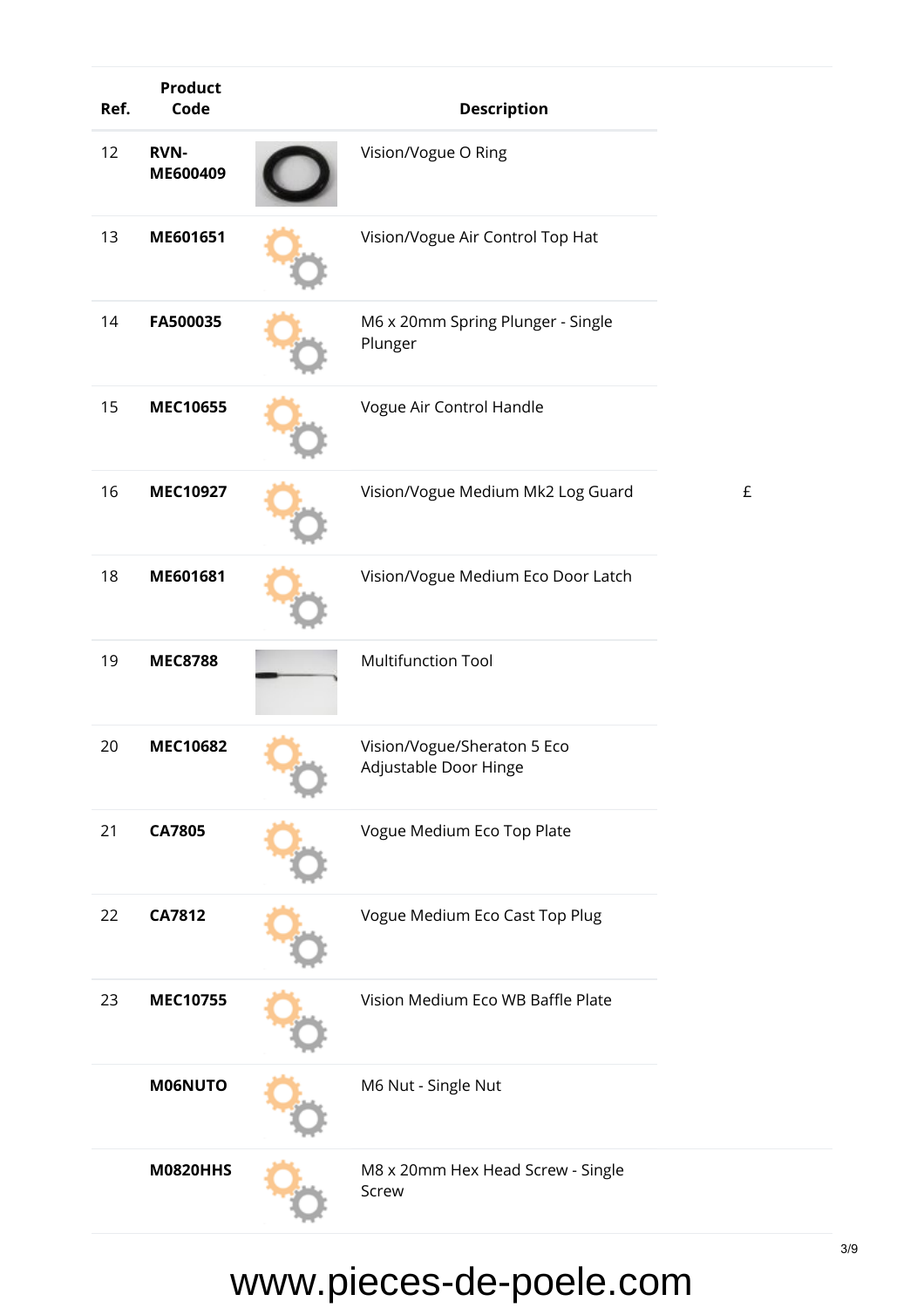| Ref. | <b>Product</b><br>Code  | <b>Description</b>                                   |   |
|------|-------------------------|------------------------------------------------------|---|
| 12   | <b>RVN-</b><br>ME600409 | Vision/Vogue O Ring                                  |   |
| 13   | ME601651                | Vision/Vogue Air Control Top Hat                     |   |
| 14   | FA500035                | M6 x 20mm Spring Plunger - Single<br>Plunger         |   |
| 15   | <b>MEC10655</b>         | Vogue Air Control Handle                             |   |
| 16   | <b>MEC10927</b>         | Vision/Vogue Medium Mk2 Log Guard                    | £ |
| 18   | ME601681                | Vision/Vogue Medium Eco Door Latch                   |   |
| 19   | <b>MEC8788</b>          | <b>Multifunction Tool</b>                            |   |
| 20   | <b>MEC10682</b>         | Vision/Vogue/Sheraton 5 Eco<br>Adjustable Door Hinge |   |
| 21   | <b>CA7805</b>           | Vogue Medium Eco Top Plate                           |   |
| 22   | <b>CA7812</b>           | Vogue Medium Eco Cast Top Plug                       |   |
| 23   | <b>MEC10755</b>         | Vision Medium Eco WB Baffle Plate                    |   |
|      | <b>M06NUTO</b>          | M6 Nut - Single Nut                                  |   |
|      | <b>M0820HHS</b>         | M8 x 20mm Hex Head Screw - Single<br>Screw           |   |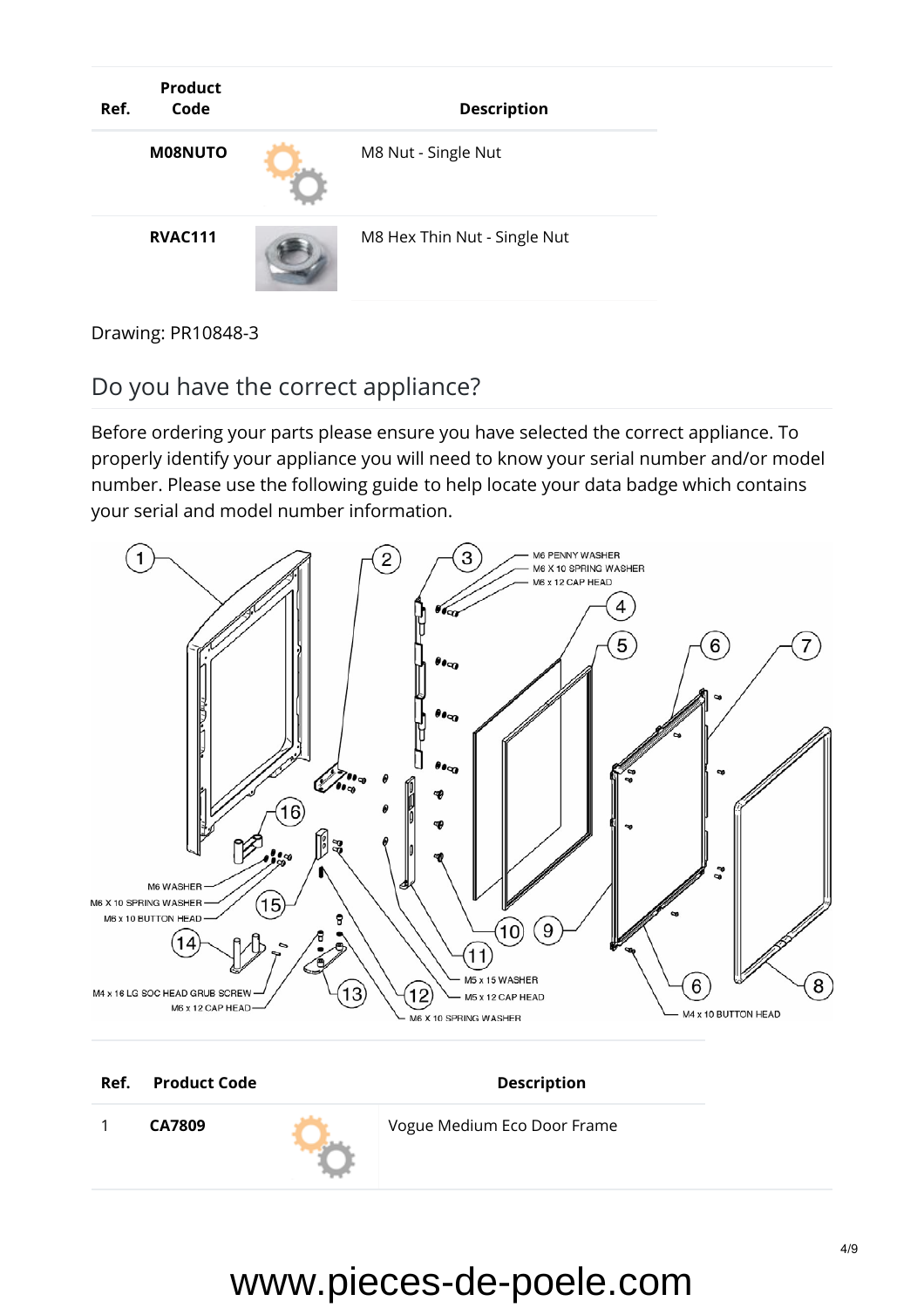

Drawing: PR10848-3

#### Do you have the correct appliance?

Before ordering your parts please ensure you have selected the correct appliance. To properly identify your appliance you will need to know your serial number and/or model number. Please use the [following guide](https://www.stovaxspares.com/find-your-databadge/) to help locate your data badge which contains your serial and model number information.



**Ref.** Product Code **Description** 

1 **[CA7809](https://www.stovaxspares.com/product/cast-door-vogue-eco-medium/)** Vogue Medium Eco Door Frame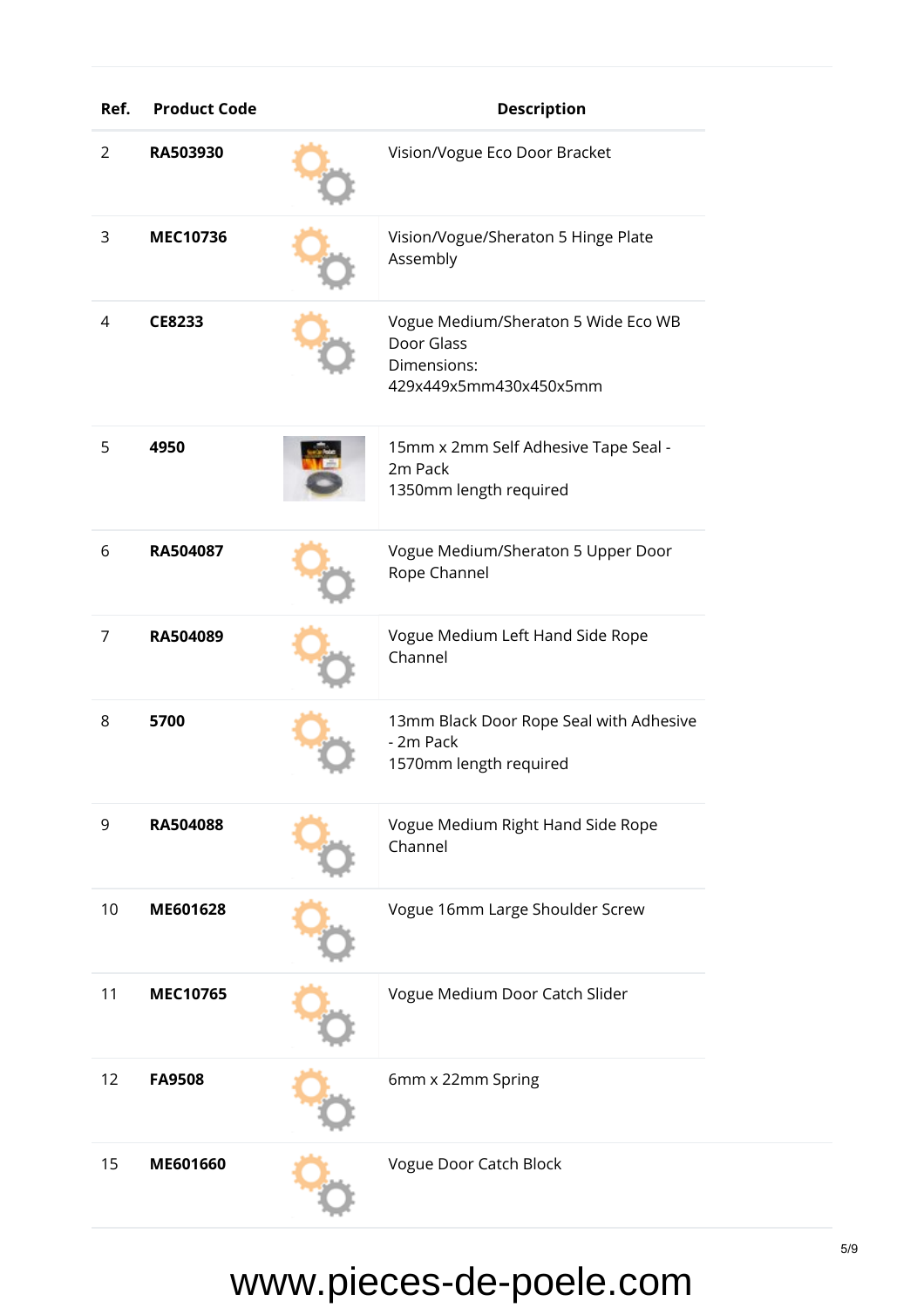| Ref. | <b>Product Code</b> | <b>Description</b>                                                                         |
|------|---------------------|--------------------------------------------------------------------------------------------|
| 2    | RA503930            | Vision/Vogue Eco Door Bracket                                                              |
| 3    | <b>MEC10736</b>     | Vision/Vogue/Sheraton 5 Hinge Plate<br>Assembly                                            |
| 4    | CE8233              | Vogue Medium/Sheraton 5 Wide Eco WB<br>Door Glass<br>Dimensions:<br>429x449x5mm430x450x5mm |
| 5    | 4950                | 15mm x 2mm Self Adhesive Tape Seal -<br>2m Pack<br>1350mm length required                  |
| 6    | RA504087            | Vogue Medium/Sheraton 5 Upper Door<br>Rope Channel                                         |
| 7    | RA504089            | Vogue Medium Left Hand Side Rope<br>Channel                                                |
| 8    | 5700                | 13mm Black Door Rope Seal with Adhesive<br>- 2m Pack<br>1570mm length required             |
| 9    | RA504088            | Vogue Medium Right Hand Side Rope<br>Channel                                               |
| 10   | ME601628            | Vogue 16mm Large Shoulder Screw                                                            |
| 11   | <b>MEC10765</b>     | Vogue Medium Door Catch Slider                                                             |
| 12   | <b>FA9508</b>       | 6mm x 22mm Spring                                                                          |
| 15   | ME601660            | Vogue Door Catch Block                                                                     |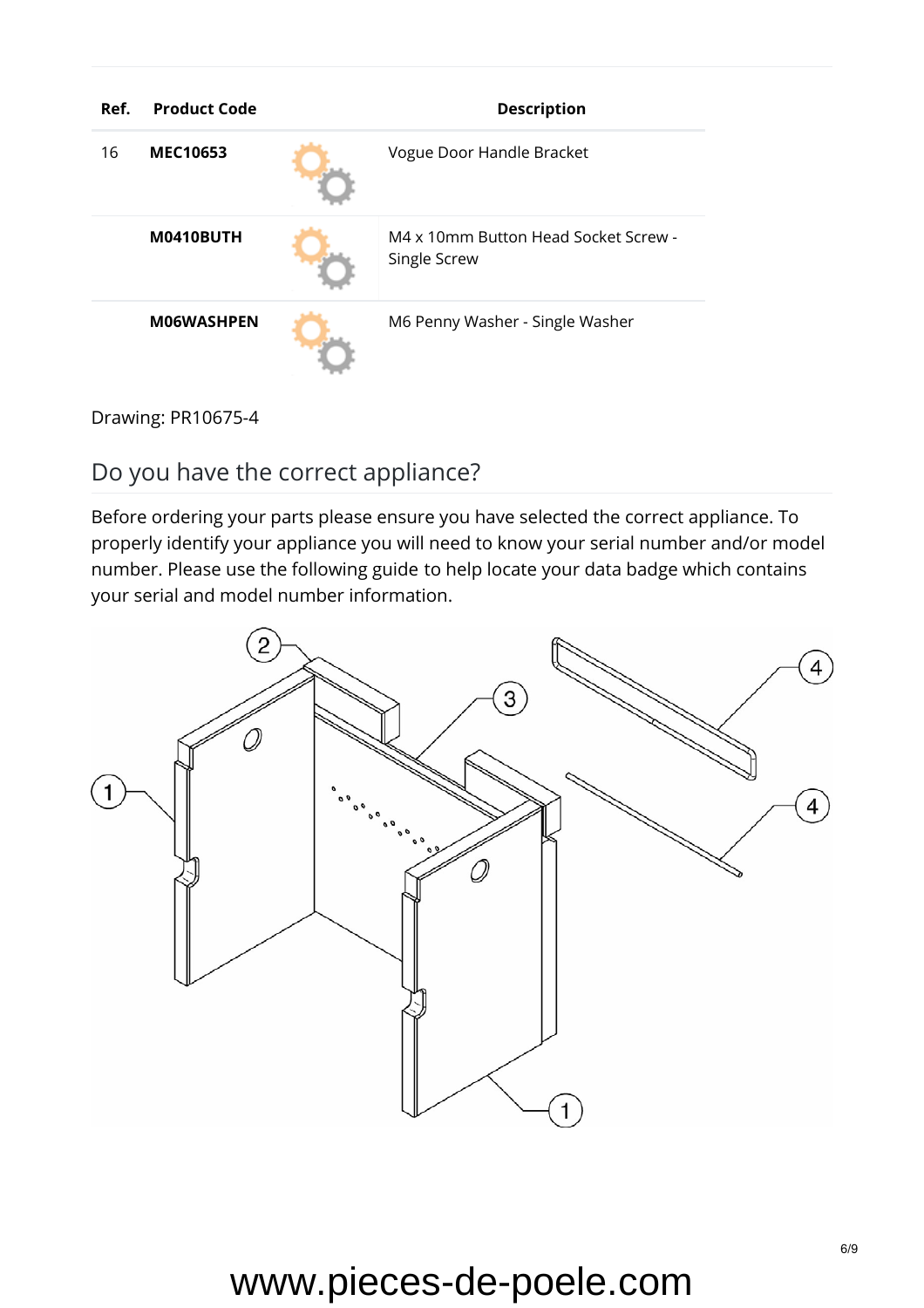| Ref. | <b>Product Code</b> | <b>Description</b>                                   |
|------|---------------------|------------------------------------------------------|
| 16   | <b>MEC10653</b>     | Vogue Door Handle Bracket                            |
|      | M0410BUTH           | M4 x 10mm Button Head Socket Screw -<br>Single Screw |
|      | <b>MO6WASHPEN</b>   | M6 Penny Washer - Single Washer                      |

Drawing: PR10675-4

#### Do you have the correct appliance?

Before ordering your parts please ensure you have selected the correct appliance. To properly identify your appliance you will need to know your serial number and/or model number. Please use the [following guide](https://www.stovaxspares.com/find-your-databadge/) to help locate your data badge which contains your serial and model number information.

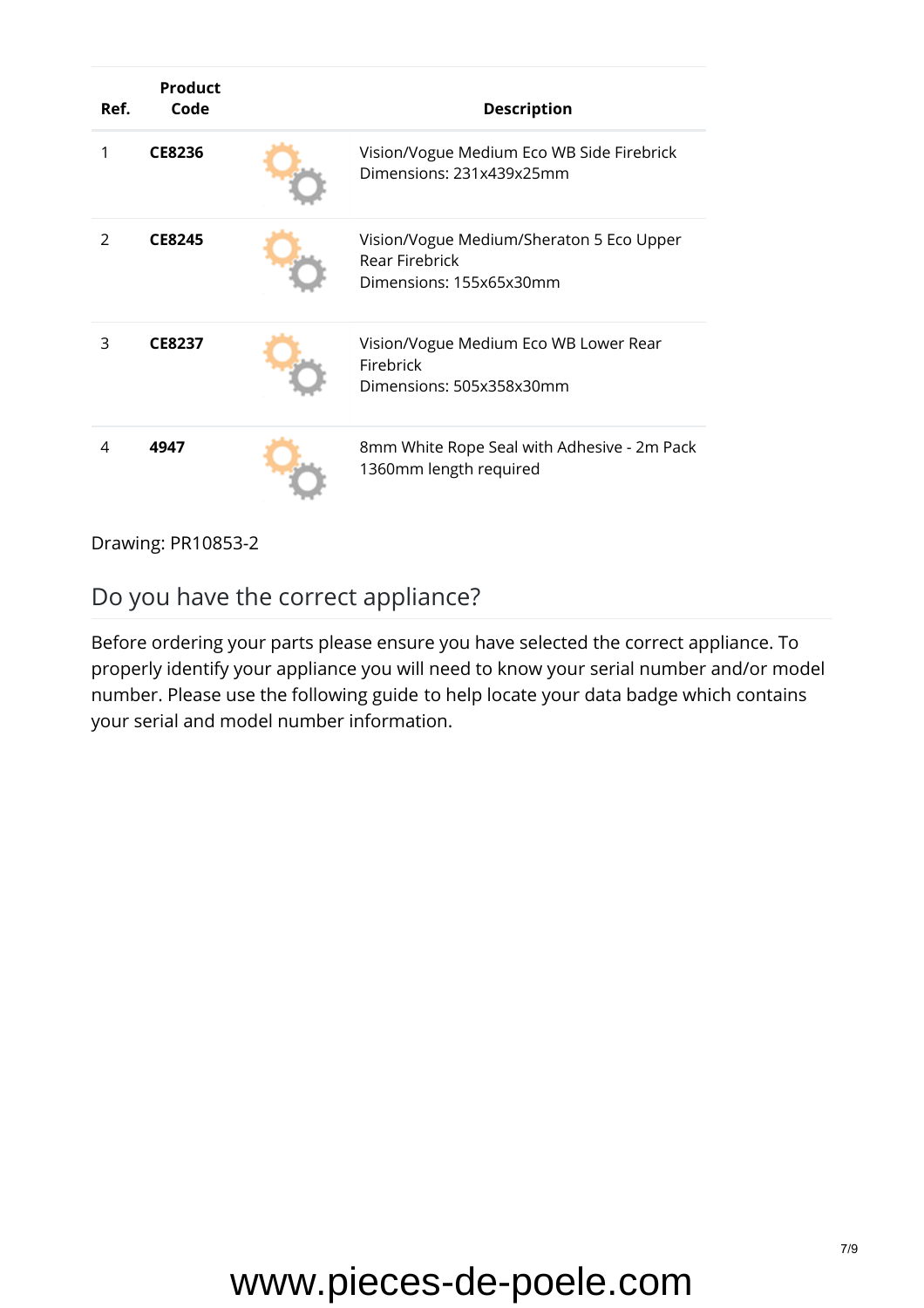| Ref.          | <b>Product</b><br>Code | <b>Description</b>                                                                    |
|---------------|------------------------|---------------------------------------------------------------------------------------|
| 1             | CE8236                 | Vision/Vogue Medium Eco WB Side Firebrick<br>Dimensions: 231x439x25mm                 |
| $\mathcal{P}$ | <b>CE8245</b>          | Vision/Vogue Medium/Sheraton 5 Eco Upper<br>Rear Firebrick<br>Dimensions: 155x65x30mm |
| 3             | <b>CE8237</b>          | Vision/Vogue Medium Eco WB Lower Rear<br>Firebrick<br>Dimensions: 505x358x30mm        |
| 4             | 4947                   | 8mm White Rope Seal with Adhesive - 2m Pack<br>1360mm length required                 |

Drawing: PR10853-2

#### Do you have the correct appliance?

Before ordering your parts please ensure you have selected the correct appliance. To properly identify your appliance you will need to know your serial number and/or model number. Please use the [following guide](https://www.stovaxspares.com/find-your-databadge/) to help locate your data badge which contains your serial and model number information.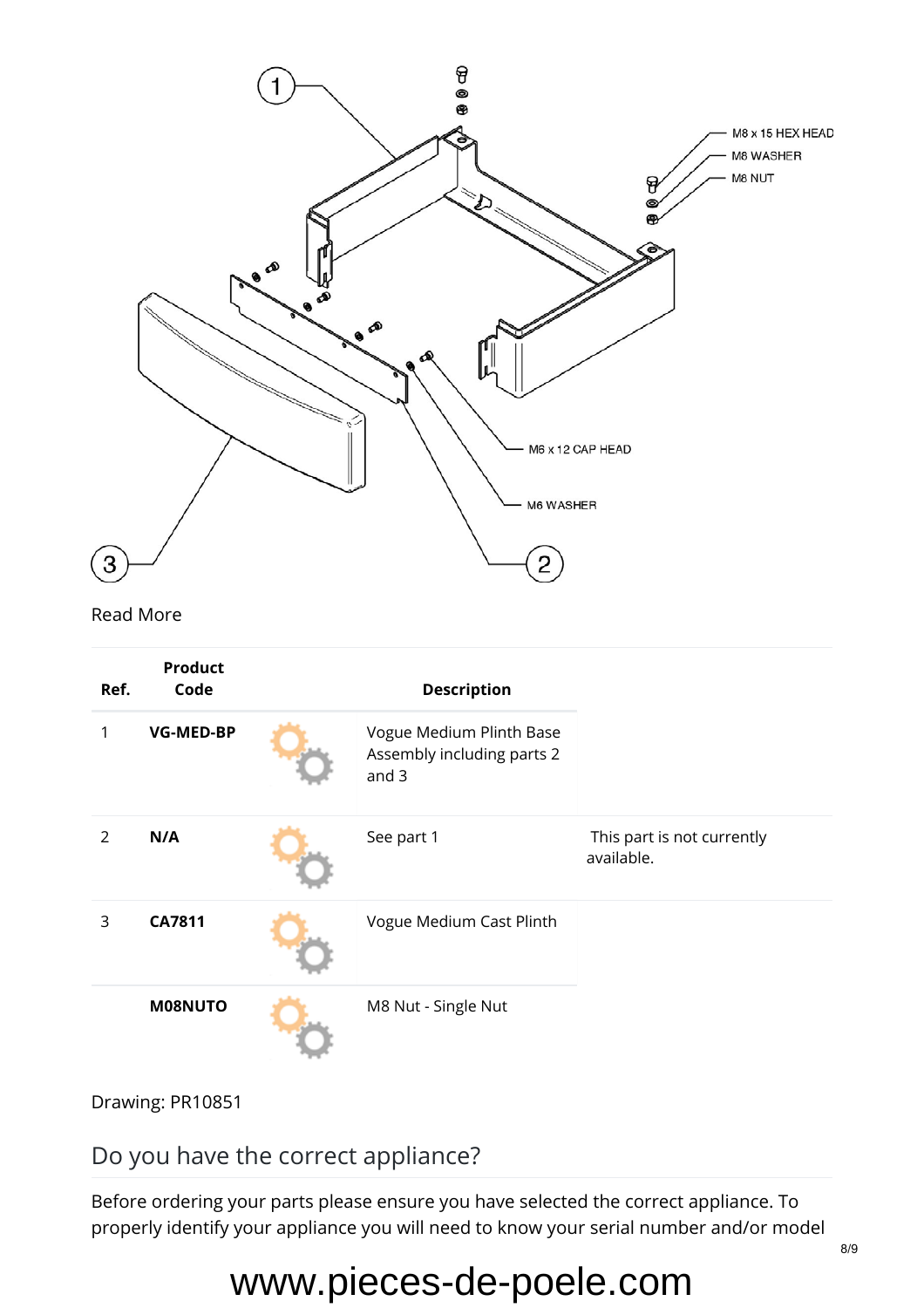

Drawing: PR10851

Do you have the correct appliance?

Before ordering your parts please ensure you have selected the correct appliance. To properly identify your appliance you will need to know your serial number and/or model